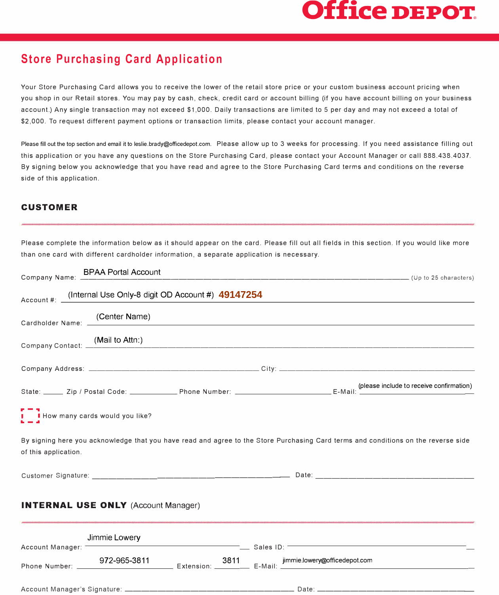## **Office DEPOT®**

## **Store Purchasing Card Application**

Your Store Purchasing Card allows you to receive the lower of the retail store price or your custom business account pricing when you shop in our Retail stores. You may pay by cash, check, credit card or account billing (if you have account billing on your business account.) Any single transaction may not exceed \$1,000. Daily transactions are limited to 5 per day and may not exceed a total of \$2,000. To request different payment options or transaction limits, please contact your account manager.

Please fill out the top section and email it to leslie.brady@officedepot.com. Please allow up to 3 weeks for processing. If you need assistance filling out this application or you have any questions on the Store Purchasing Card, please contact your Account Manager or call 888.438.4037. By signing below you acknowledge that you have read and agree to the Store Purchasing Card terms and conditions on the reverse side of this application.

## **CUSTOMER**

Please complete the information below as it should appear on the card. Please fill out all fields in this section. If you would like more than one card with different cardholder information, a separate application is necessary.

|                                            | Company Name: BPAA Portal Account                                                                                                                                                                                                |  |  |  |  |
|--------------------------------------------|----------------------------------------------------------------------------------------------------------------------------------------------------------------------------------------------------------------------------------|--|--|--|--|
|                                            | Account #: _(Internal Use Only-8 digit OD Account #) 49147254                                                                                                                                                                    |  |  |  |  |
|                                            | Cardholder Name: (Center Name)<br>Cardholder Name: (2008)                                                                                                                                                                        |  |  |  |  |
|                                            | Company Contact: (Mail to Attn:)                                                                                                                                                                                                 |  |  |  |  |
|                                            |                                                                                                                                                                                                                                  |  |  |  |  |
|                                            | E-Mail: (please include to receive confirmation)<br>E-Mail: (please include to receive confirmation)                                                                                                                             |  |  |  |  |
| <b>I</b> How many cards would you like?    |                                                                                                                                                                                                                                  |  |  |  |  |
| of this application.                       | By signing here you acknowledge that you have read and agree to the Store Purchasing Card terms and conditions on the reverse side                                                                                               |  |  |  |  |
|                                            |                                                                                                                                                                                                                                  |  |  |  |  |
| <b>INTERNAL USE ONLY (Account Manager)</b> |                                                                                                                                                                                                                                  |  |  |  |  |
|                                            | Manager: University Manager: University Manager: University Manager: University Manager: University Manager: U<br>and Sales ID: University Manager: University Manager: University Manager: University Manager: University Manag |  |  |  |  |
|                                            | Phone Number: 972-965-3811 Extension: 3811 Finmielowery @officedepot.com                                                                                                                                                         |  |  |  |  |
|                                            |                                                                                                                                                                                                                                  |  |  |  |  |